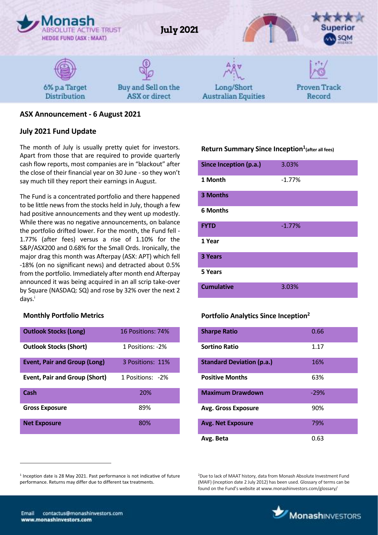

# **ASX Announcement - 6 August 2021**

#### **July 2021 Fund Update**

The month of July is usually pretty quiet for investors. Apart from those that are required to provide quarterly cash flow reports, most companies are in "blackout" after the close of their financial year on 30 June - so they won't say much till they report their earnings in August.

The Fund is a concentrated portfolio and there happened to be little news from the stocks held in July, though a few had positive announcements and they went up modestly. While there was no negative announcements, on balance the portfolio drifted lower. For the month, the Fund fell - 1.77% (after fees) versus a rise of 1.10% for the S&P/ASX200 and 0.68% for the Small Ords. Ironically, the major drag this month was Afterpay (ASX: APT) which fell -18% (on no significant news) and detracted about 0.5% from the portfolio. Immediately after month end Afterpay announced it was being acquired in an all scrip take-over by Square (NASDAQ: SQ) and rose by 32% over the next 2 days.<sup>i</sup>

#### **Monthly Portfolio Metrics**

| <b>Outlook Stocks (Long)</b>         | 16 Positions: 74% |
|--------------------------------------|-------------------|
| <b>Outlook Stocks (Short)</b>        | 1 Positions: -2%  |
| <b>Event, Pair and Group (Long)</b>  | 3 Positions: 11%  |
| <b>Event, Pair and Group (Short)</b> | 1 Positions: -2%  |
| Cash                                 | 20%               |
| <b>Gross Exposure</b>                | 89%               |
| <b>Net Exposure</b>                  | 80%               |

# **Return Summary Since Inception<sup>1</sup> (after all fees)**

| Since Inception (p.a.) | 3.03%    |
|------------------------|----------|
| 1 Month                | $-1.77%$ |
| 3 Months               |          |
| <b>6 Months</b>        |          |
| <b>FYTD</b>            | $-1.77%$ |
| 1 Year                 |          |
| 3 Years                |          |
| 5 Years                |          |
| <b>Cumulative</b>      | 3.03%    |

#### **Portfolio Analytics Since Inception<sup>2</sup>**

| <b>Sharpe Ratio</b>              | 0.66   |
|----------------------------------|--------|
| <b>Sortino Ratio</b>             | 1.17   |
| <b>Standard Deviation (p.a.)</b> | 16%    |
| <b>Positive Months</b>           | 63%    |
| <b>Maximum Drawdown</b>          | $-29%$ |
| <b>Avg. Gross Exposure</b>       | 90%    |
| <b>Avg. Net Exposure</b>         | 79%    |
| Avg. Beta                        | 0.63   |

<sup>2</sup>Due to lack of MAAT history, data from Monash Absolute Investment Fund (MAIF) (inception date 2 July 2012) has been used. Glossary of terms can be found on the Fund's website at www.monashinvestors.com/glossary/



 $\overline{a}$ 

<sup>&</sup>lt;sup>1</sup> Inception date is 28 May 2021. Past performance is not indicative of future performance. Returns may differ due to different tax treatments.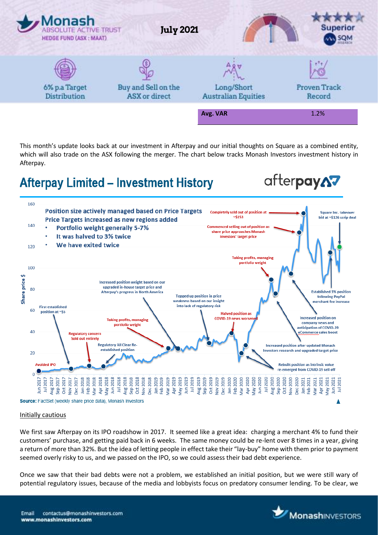

This month's update looks back at our investment in Afterpay and our initial thoughts on Square as a combined entity, which will also trade on the ASX following the merger. The chart below tracks Monash Investors investment history in Afterpay.

# **Afterpay Limited - Investment History**

afterpayA7



#### Initially cautious

We first saw Afterpay on its IPO roadshow in 2017. It seemed like a great idea: charging a merchant 4% to fund their customers' purchase, and getting paid back in 6 weeks. The same money could be re-lent over 8 times in a year, giving a return of more than 32%. But the idea of letting people in effect take their "lay-buy" home with them prior to payment seemed overly risky to us, and we passed on the IPO, so we could assess their bad debt experience.

Once we saw that their bad debts were not a problem, we established an initial position, but we were still wary of potential regulatory issues, because of the media and lobbyists focus on predatory consumer lending. To be clear, we

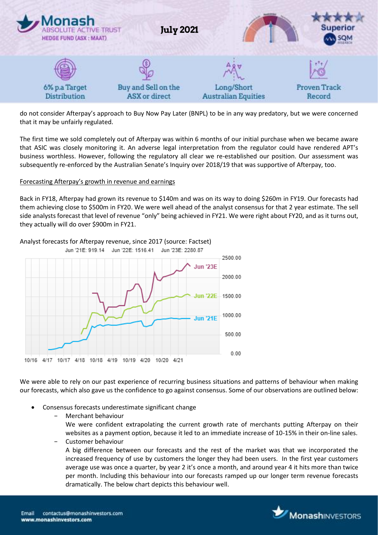

do not consider Afterpay's approach to Buy Now Pay Later (BNPL) to be in any way predatory, but we were concerned that it may be unfairly regulated.

The first time we sold completely out of Afterpay was within 6 months of our initial purchase when we became aware that ASIC was closely monitoring it. An adverse legal interpretation from the regulator could have rendered APT's business worthless. However, following the regulatory all clear we re-established our position. Our assessment was subsequently re-enforced by the Australian Senate's Inquiry over 2018/19 that was supportive of Afterpay, too.

#### Forecasting Afterpay's growth in revenue and earnings

Back in FY18, Afterpay had grown its revenue to \$140m and was on its way to doing \$260m in FY19. Our forecasts had them achieving close to \$500m in FY20. We were well ahead of the analyst consensus for that 2 year estimate. The sell side analysts forecast that level of revenue "only" being achieved in FY21. We were right about FY20, and as it turns out, they actually will do over \$900m in FY21.



Analyst forecasts for Afterpay revenue, since 2017 (source: Factset)

We were able to rely on our past experience of recurring business situations and patterns of behaviour when making our forecasts, which also gave us the confidence to go against consensus. Some of our observations are outlined below:

- Consensus forecasts underestimate significant change
	- − Merchant behaviour

We were confident extrapolating the current growth rate of merchants putting Afterpay on their websites as a payment option, because it led to an immediate increase of 10-15% in their on-line sales.

− Customer behaviour

A big difference between our forecasts and the rest of the market was that we incorporated the increased frequency of use by customers the longer they had been users. In the first year customers average use was once a quarter, by year 2 it's once a month, and around year 4 it hits more than twice per month. Including this behaviour into our forecasts ramped up our longer term revenue forecasts dramatically. The below chart depicts this behaviour well.

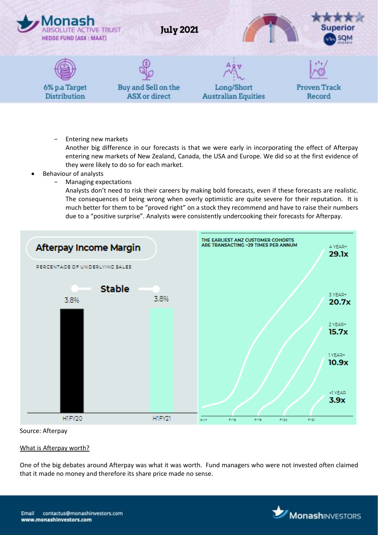

Entering new markets

Another big difference in our forecasts is that we were early in incorporating the effect of Afterpay entering new markets of New Zealand, Canada, the USA and Europe. We did so at the first evidence of they were likely to do so for each market.

- Behaviour of analysts
	- − Managing expectations

Analysts don't need to risk their careers by making bold forecasts, even if these forecasts are realistic. The consequences of being wrong when overly optimistic are quite severe for their reputation. It is much better for them to be "proved right" on a stock they recommend and have to raise their numbers due to a "positive surprise". Analysts were consistently undercooking their forecasts for Afterpay.



#### Source: Afterpay

#### What is Afterpay worth?

One of the big debates around Afterpay was what it was worth. Fund managers who were not invested often claimed that it made no money and therefore its share price made no sense.

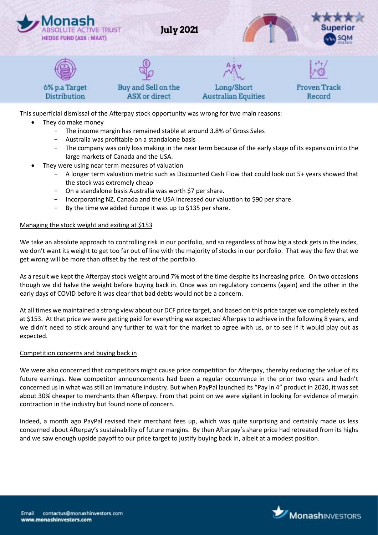

This superficial dismissal of the Afterpay stock opportunity was wrong for two main reasons:

- They do make money
	- The income margin has remained stable at around 3.8% of Gross Sales
	- − Australia was profitable on a standalone basis
	- The company was only loss making in the near term because of the early stage of its expansion into the large markets of Canada and the USA.
- They were using near term measures of valuation
	- − A longer term valuation metric such as Discounted Cash Flow that could look out 5+ years showed that the stock was extremely cheap
	- − On a standalone basis Australia was worth \$7 per share.
	- − Incorporating NZ, Canada and the USA increased our valuation to \$90 per share.
	- By the time we added Europe it was up to \$135 per share.

#### Managing the stock weight and exiting at \$153

We take an absolute approach to controlling risk in our portfolio, and so regardless of how big a stock gets in the index, we don't want its weight to get too far out of line with the majority of stocks in our portfolio. That way the few that we get wrong will be more than offset by the rest of the portfolio.

As a result we kept the Afterpay stock weight around 7% most of the time despite its increasing price. On two occasions though we did halve the weight before buying back in. Once was on regulatory concerns (again) and the other in the early days of COVID before it was clear that bad debts would not be a concern.

At all times we maintained a strong view about our DCF price target, and based on this price target we completely exited at \$153. At that price we were getting paid for everything we expected Afterpay to achieve in the following 8 years, and we didn't need to stick around any further to wait for the market to agree with us, or to see if it would play out as expected.

#### Competition concerns and buying back in

We were also concerned that competitors might cause price competition for Afterpay, thereby reducing the value of its future earnings. New competitor announcements had been a regular occurrence in the prior two years and hadn't concerned us in what was still an immature industry. But when PayPal launched its "Pay in 4" product in 2020, it was set about 30% cheaper to merchants than Afterpay. From that point on we were vigilant in looking for evidence of margin contraction in the industry but found none of concern.

Indeed, a month ago PayPal revised their merchant fees up, which was quite surprising and certainly made us less concerned about Afterpay's sustainability of future margins. By then Afterpay's share price had retreated from its highs and we saw enough upside payoff to our price target to justify buying back in, albeit at a modest position.

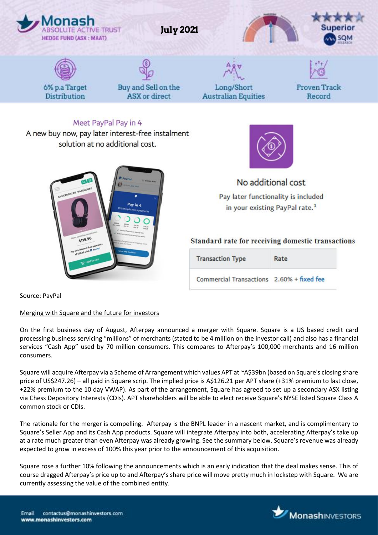

Source: PayPal

#### Merging with Square and the future for investors

On the first business day of August, Afterpay announced a merger with Square. Square is a US based credit card processing business servicing "millions" of merchants (stated to be 4 million on the investor call) and also has a financial services "Cash App" used by 70 million consumers. This compares to Afterpay's 100,000 merchants and 16 million consumers.

Square will acquire Afterpay via a Scheme of Arrangement which values APT at ~A\$39bn (based on Square's closing share price of US\$247.26) – all paid in Square scrip. The implied price is A\$126.21 per APT share (+31% premium to last close, +22% premium to the 10 day VWAP). As part of the arrangement, Square has agreed to set up a secondary ASX listing via Chess Depository Interests (CDIs). APT shareholders will be able to elect receive Square's NYSE listed Square Class A common stock or CDIs.

The rationale for the merger is compelling. Afterpay is the BNPL leader in a nascent market, and is complimentary to Square's Seller App and its Cash App products. Square will integrate Afterpay into both, accelerating Afterpay's take up at a rate much greater than even Afterpay was already growing. See the summary below. Square's revenue was already expected to grow in excess of 100% this year prior to the announcement of this acquisition.

Square rose a further 10% following the announcements which is an early indication that the deal makes sense. This of course dragged Afterpay's price up to and Afterpay's share price will move pretty much in lockstep with Square. We are currently assessing the value of the combined entity.

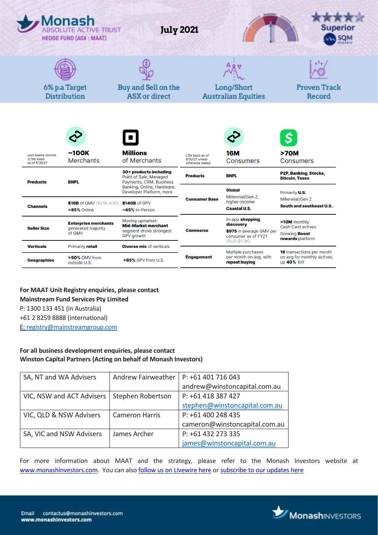|                                                    | Monash<br><b>ABSOLUTE ACTIVE TRUST</b><br><b>HEDGE FUND (ASX: MAAT)</b> | <b>July 2021</b>                                                                               |                                                       |                                                                                                 | <b>Superior</b>                                                               |  |
|----------------------------------------------------|-------------------------------------------------------------------------|------------------------------------------------------------------------------------------------|-------------------------------------------------------|-------------------------------------------------------------------------------------------------|-------------------------------------------------------------------------------|--|
|                                                    | 6% p.a Target<br>Distribution                                           | Buy and Sell on the<br>ASX or direct                                                           |                                                       | Long/Short<br><b>Australian Equities</b>                                                        | Proven Track<br>Record                                                        |  |
| Last twelve months<br>(LTM) basis<br>as of 6/30/21 | ~100K<br><b>Merchants</b>                                               | <b>Millions</b><br>of Merchants                                                                | LTM basis as of<br>6/30/21 unless<br>otherwise stated | <b>16M</b><br>Consumers                                                                         | >70M<br>Consumers                                                             |  |
| <b>Products</b>                                    | <b>BNPL</b>                                                             | 30+ products including<br>Point of Sale, Managed<br>Payments, CRM, Business                    | <b>Products</b>                                       | <b>BNPL</b>                                                                                     | P2P, Banking, Stocks,<br><b>Bitcoin, Taxes</b>                                |  |
| <b>Channels</b>                                    | $$16B$ of GMV ( $$21B$ AUD)<br>>85% Online                              | Banking, Online, Hardware,<br>Developer Platform, more<br>\$140B of GPV<br>~45% In-Person      | <b>Consumer Base</b>                                  | <b>Global</b><br>Millennial/Gen Z,<br>higher-income<br><b>Coastal U.S.</b>                      | Primarily <b>U.S.</b><br>Millennial/Gen Z<br>South and southeast U.S.         |  |
| <b>Seller Size</b>                                 | <b>Enterprise merchants</b><br>generated majority<br>of GMV             | Moving upmarket:<br><b>Mid-Market merchant</b><br>segment drove strongest<br><b>GPV</b> growth | <b>Commerce</b>                                       | In-app shopping<br>discovery<br>\$975 in average GMV per<br>consumer as of FY21<br>(AUD \$1.3K) | >10M monthly<br>Cash Card actives<br>Growing <b>Boost</b><br>rewards platform |  |
| <b>Verticals</b><br><b>Geographies</b>             | Primarily retail<br>>50% GMV from<br>outside U.S.                       | <b>Diverse mix</b> of verticals<br>>85% GPV from U.S.                                          | <b>Engagement</b>                                     | Multiple purchases<br>per month on avg, with<br>repeat buying                                   | <b>18</b> transactions per month<br>on avg for monthly actives,<br>up 40% YoY |  |

# **For MAAT Unit Registry enquiries, please contact Mainstream Fund Services Pty Limited** P: 1300 133 451 (in Australia) +61 2 8259 8888 (international) E[: registry@mainstreamgroup.com](mailto:registry@mainstreamgroup.com)

# **For all business development enquiries, please contact Winston Capital Partners (Acting on behalf of Monash Investors)**

| SA, NT and WA Advisers    | Andrew Fairweather    | P: +61 401 716 043            |
|---------------------------|-----------------------|-------------------------------|
|                           |                       | andrew@winstoncapital.com.au  |
| VIC, NSW and ACT Advisers | Stephen Robertson     | P: +61 418 387 427            |
|                           |                       | stephen@winstoncapital.com.au |
| VIC, QLD & NSW Advisers   | <b>Cameron Harris</b> | P: +61 400 248 435            |
|                           |                       | cameron@winstoncapital.com.au |
| SA, VIC and NSW Advisers  | James Archer          | P: +61 432 273 335            |
|                           |                       | james@winstoncapital.com.au   |

For more information about MAAT and the strategy, please refer to the Monash Investors website at [www.monashinvestors.com.](http://www.monashinvestors.com/) You can also [follow us on Livewire here](https://www.livewiremarkets.com/profiles/8eb7be80-b12d-4708-818b-05de933043bd) o[r subscribe to our updates here](https://confirmsubscription.com/h/i/BE4A2DDB60377374)